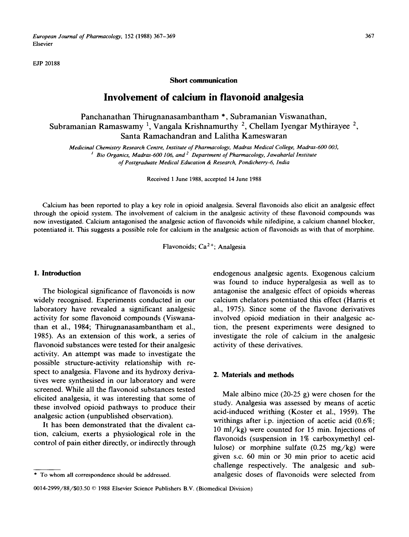*European Journal of Pharmacology,* 152 (1988) 367-369 367 Elsevier

EJP 20188

#### **Short communication**

# **Involvement of calcium in flavonoid analgesia**

Panchanathan Thirugnanasambantham \*, Subramanian Viswanathan, Subramanian Ramaswamy<sup>1</sup>, Vangala Krishnamurthy<sup>2</sup>, Chellam Iyengar Mythirayee<sup>2</sup>, Santa Ramachandran and Lalitha Kameswaran

*Medicinal Chemistry Research Centre, Institute of Pharmacology, Madras Medical College, Madras-600 003,*  <sup>*I</sup> Bio Organics, Madras-600 106, and <sup>2</sup> Department of Pharmacology, Jawaharlal Institute</sup> of Postgraduate Medical Education & Research, Pondicherry-6, lndia* 

Received 1 June 1988, accepted 14 June 1988

Calcium has been reported to play a key role in opioid analgesia. Several flavonoids also elicit an analgesic effect through the opioid system. The involvement of calcium in the analgesic activity of these flavonoid compounds was now investigated. Calcium antagonised the analgesic action of flavonoids while nifedipine, a calcium channel blocker, potentiated it. This suggests a possible role for calcium in the analgesic action of flavonoids as with that of morphine.

Flavonoids; Ca2+; Analgesia

### **1. Introduction**

The biological significance of flavonoids is now widely recognised. Experiments conducted in our laboratory have revealed a significant analgesic activity for some flavonoid compounds (Viswanathan et al., 1984; Thirugnanasambantham et al., 1985). As an extension of this work, a series of flavonoid substances were tested for their analgesic activity. An attempt was made to investigate the possible structure-activity relationship with respect to analgesia. Flavone and its hydroxy derivatives were synthesised in our laboratory and were screened. While all the flavonoid substances tested elicited analgesia, it was interesting that some of these involved opioid pathways to produce their analgesic action (unpublished observation).

It has been demonstrated that the divalent cation, calcium, exerts a physiological role in the control of pain either directly, or indirectly through endogenous analgesic agents. Exogenous calcium was found to induce hyperalgesia as well as to antagonise the analgesic effect of opioids whereas calcium chelators potentiated this effect (Harris et al., 1975). Since some of the flavone derivatives involved opioid mediation in their analgesic action, the present experiments were designed to investigate the role of calcium in the analgesic activity of these derivatives.

### **2. Materials and methods**

Male albino mice (20-25 g) were chosen for the study. Analgesia was assessed by means of acetic acid-induced writhing (Koster et al., 1959). The writhings after i.p. injection of acetic acid (0.6%; 10 ml/kg) were counted for 15 min. Injections of flavonoids (suspension in 1% carboxymethyl cellulose) or morphine sulfate  $(0.25 \text{ mg/kg})$  were given s.c. 60 min or 30 min prior to acetic acid challenge respectively. The analgesic and subanalgesic doses of flavonoids were selected from

<sup>\*</sup> To whom all correspondence should be addressed.

<sup>0014-2999/88/\$03.50 © 1988</sup> Elsevier Science Publishers B.V. (Biomedical Division)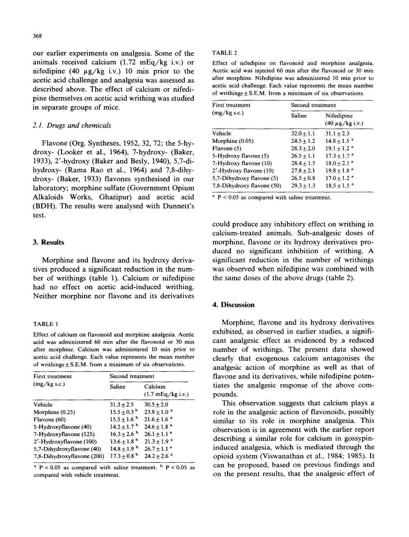our earlier experiments on analgesia. Some of the animals received calcium  $(1.72 \text{ mEq/kg} i.v.)$  or nifedipine (40  $\mu$ g/kg i.v.) 10 min prior to the acetic acid challenge and analgesia was assessed as described above. The effect of calcium or nifedipine themselves on acetic acid writhing was studied in separate groups of mice.

#### *2.1. Drugs and chemicals*

Flavone (Org. Syntheses, 1952, 32, 72; the 5-hydroxy- (Looker et al., 1964), 7-hydroxy- (Baker, 1933), 2'-hydroxy (Baker and Besly, 1940), 5,7-dihydroxy- (Rama Rao et al., 1964) and 7,8-dihydroxy- (Baker, 1933) flavones synthesised in our laboratory; morphine sulfate (Government Opium Alkaloids Works, Ghazipur) and acetic acid (BDH). The results were analysed with Dunnett's test.

#### **3. Results**

Morphine and flavone and its hydroxy derivatives produced a significant reduction in the number of writhings (table 1). Calcium or nifedipine had no effect on acetic acid-induced writhing. Neither morphine nor flavone and its derivatives

#### TABLE 1

Effect of calcium on flavonoid and morphine analgesia. Acetic acid was administered 60 min after the flavonoid or 30 min after morphine. Calcium was administered 10 min prior to acetic acid challenge. Each value represents the mean number of writhings  $\pm$  S.E.M. from a minimum of six observations.

| First treatment<br>(mg/kg s.c.) | Second treatment            |                                        |
|---------------------------------|-----------------------------|----------------------------------------|
|                                 | Saline                      | Calcium<br>$(1.7 \text{ mEq/kg} i.v.)$ |
| Vehicle                         | $31.3 + 2.5$                | $30.5 + 2.0$                           |
| Morphine (0.25)                 | $15.5 + 0.3b$               | $23.8 \pm 1.0$ <sup>a</sup>            |
| Flavone (60)                    | $15.5 + 1.6^{b}$            | $21.6 + 1.6$ <sup>a</sup>              |
| 5-Hydroxyflavone (40)           | $14.2 \pm 1.7$ <sup>b</sup> | $24.6 \pm 1.8$ <sup>a</sup>            |
| 7-Hydroxyflavone (125)          | $16.3 + 2.6^{b}$            | $26.1 \pm 1.1$ <sup>a</sup>            |
| 2'-Hydroxyflavone (100)         | $13.6 + 1.8^{b}$            | $21.3 \pm 1.9$ <sup>a</sup>            |
| 5,7-Dihydroxyflavone (40)       | $14.8 + 1.9b$               | $26.7 \pm 1.1$ <sup>a</sup>            |
| 7,8-Dihydroxyflavone (200)      | $17.3 + 0.8^{b}$            | $24.2 \pm 2.6$ <sup>a</sup>            |

<sup>a</sup>  $P < 0.05$  as compared with saline treatment. <sup>b</sup>  $P < 0.05$  as compared with vehicle treatment.

#### TABLE 2

Effect of nifedipine on flavonoid and morphine analgesia. Acetic acid was injected 60 min after the flavonoid or 30 min after morphine. Nifedipine was administered 10 min prior to acetic acid challenge. Each value represents the mean number of writhings  $\pm$  S.E.M. from a minimum of six observations.

| First treatment<br>(mg/kg s.c.) | Second treatment |                                    |
|---------------------------------|------------------|------------------------------------|
|                                 | Saline           | Nifedipine<br>$(40 \mu g/kg i.v.)$ |
| Vehicle                         | $32.0 \pm 1.1$   | $31.1 + 2.3$                       |
| Morphine $(0.05)$               | $24.5 + 1.2$     | $14.8 + 1.5$ <sup>a</sup>          |
| Flavone (5)                     | $28.3 + 2.0$     | $19.1 + 1.2$ <sup>a</sup>          |
| 5-Hydroxy flavone (5)           | $26.5 + 1.1$     | $17.3 + 1.7$ <sup>a</sup>          |
| 7-Hydroxy flavone (10)          | $28.4 + 1.5$     | $18.0 \pm 2.1$ <sup>a</sup>        |
| 2'-Hydroxy flavone (10)         | $27.8 \pm 2.1$   | $19.8 \pm 1.8^{\circ}$             |
| 5,7-Dihydroxy flavone (5)       | $26.5 + 0.8$     | $17.0 + 1.2$ <sup>a</sup>          |
| 7,8-Dihydroxy flavone (50)      | $29.3 + 1.3$     | $18.5 + 1.5$ <sup>a</sup>          |

 $A<sub>p</sub>$  P < 0.05 as compared with saline treatment.

could produce any inhibitory effect on writhing in calcium-treated animals. Sub-analgesic doses of morphine, flavone or its hydroxy derivatives produced no significant inhibition of writhing. A significant reduction in the number of writhings was observed when nifedipine was combined with the same doses of the above drugs (table 2).

## **4. Discussion**

Morphine, flavone and its hydroxy derivatives exhibited, as observed in earlier studies, a significant analgesic effect as evidenced by a reduced number of writhings. The present data showed clearly that exogenous calcium antagonises the analgesic action of morphine as well as that of flavone and its derivatives, while nifedipine potentiates the analgesic response of the above compounds.

This observation suggests that calcium plays a role in the analgesic action of flavonoids, possibly similar to its role in morphine analgesia. This observation is in agreement with the earlier report describing a similar role for calcium in gossypininduced analgesia, which is mediated through the opioid system (Viswanathan et al., 1984; 1985). It can be proposed, based on previous findings and on the present results, that the analgesic effect of